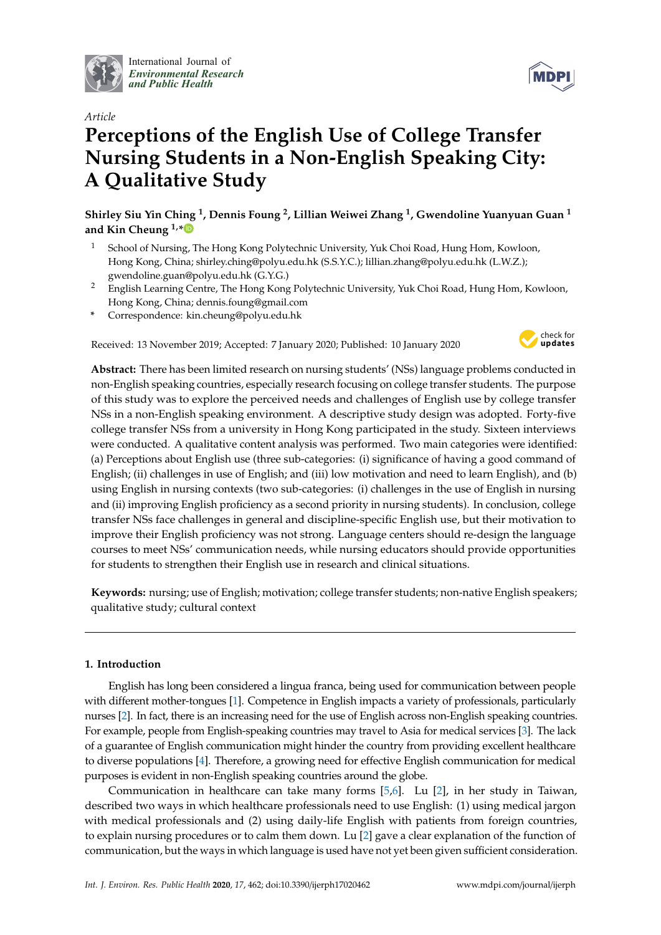

International Journal of *[Environmental Research](http://www.mdpi.com/journal/ijerph) and Public Health*



# **Perceptions of the English Use of College Transfer Nursing Students in a Non-English Speaking City: A Qualitative Study**

**Shirley Siu Yin Ching <sup>1</sup> , Dennis Foung <sup>2</sup> , Lillian Weiwei Zhang <sup>1</sup> , Gwendoline Yuanyuan Guan <sup>1</sup> and Kin Cheung 1,[\\*](https://orcid.org/0000-0002-8419-4847)**

- <sup>1</sup> School of Nursing, The Hong Kong Polytechnic University, Yuk Choi Road, Hung Hom, Kowloon, Hong Kong, China; shirley.ching@polyu.edu.hk (S.S.Y.C.); lillian.zhang@polyu.edu.hk (L.W.Z.); gwendoline.guan@polyu.edu.hk (G.Y.G.)
- <sup>2</sup> English Learning Centre, The Hong Kong Polytechnic University, Yuk Choi Road, Hung Hom, Kowloon, Hong Kong, China; dennis.foung@gmail.com
- **\*** Correspondence: kin.cheung@polyu.edu.hk

Received: 13 November 2019; Accepted: 7 January 2020; Published: 10 January 2020



**Abstract:** There has been limited research on nursing students' (NSs) language problems conducted in non-English speaking countries, especially research focusing on college transfer students. The purpose of this study was to explore the perceived needs and challenges of English use by college transfer NSs in a non-English speaking environment. A descriptive study design was adopted. Forty-five college transfer NSs from a university in Hong Kong participated in the study. Sixteen interviews were conducted. A qualitative content analysis was performed. Two main categories were identified: (a) Perceptions about English use (three sub-categories: (i) significance of having a good command of English; (ii) challenges in use of English; and (iii) low motivation and need to learn English), and (b) using English in nursing contexts (two sub-categories: (i) challenges in the use of English in nursing and (ii) improving English proficiency as a second priority in nursing students). In conclusion, college transfer NSs face challenges in general and discipline-specific English use, but their motivation to improve their English proficiency was not strong. Language centers should re-design the language courses to meet NSs' communication needs, while nursing educators should provide opportunities for students to strengthen their English use in research and clinical situations.

**Keywords:** nursing; use of English; motivation; college transfer students; non-native English speakers; qualitative study; cultural context

## **1. Introduction**

English has long been considered a lingua franca, being used for communication between people with different mother-tongues [\[1\]](#page-9-0). Competence in English impacts a variety of professionals, particularly nurses [\[2\]](#page-9-1). In fact, there is an increasing need for the use of English across non-English speaking countries. For example, people from English-speaking countries may travel to Asia for medical services [\[3\]](#page-9-2). The lack of a guarantee of English communication might hinder the country from providing excellent healthcare to diverse populations [\[4\]](#page-9-3). Therefore, a growing need for effective English communication for medical purposes is evident in non-English speaking countries around the globe.

Communication in healthcare can take many forms [\[5,](#page-9-4)[6\]](#page-9-5). Lu [\[2\]](#page-9-1), in her study in Taiwan, described two ways in which healthcare professionals need to use English: (1) using medical jargon with medical professionals and (2) using daily-life English with patients from foreign countries, to explain nursing procedures or to calm them down. Lu [\[2\]](#page-9-1) gave a clear explanation of the function of communication, but the ways in which language is used have not yet been given sufficient consideration.

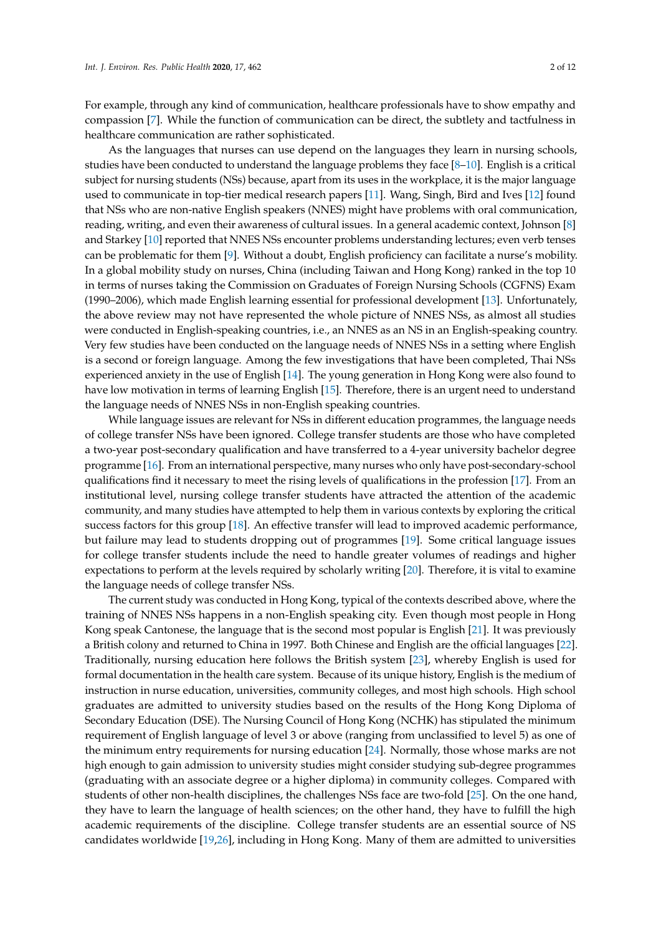For example, through any kind of communication, healthcare professionals have to show empathy and compassion [\[7\]](#page-9-6). While the function of communication can be direct, the subtlety and tactfulness in healthcare communication are rather sophisticated.

As the languages that nurses can use depend on the languages they learn in nursing schools, studies have been conducted to understand the language problems they face [\[8–](#page-9-7)[10\]](#page-9-8). English is a critical subject for nursing students (NSs) because, apart from its uses in the workplace, it is the major language used to communicate in top-tier medical research papers [\[11\]](#page-9-9). Wang, Singh, Bird and Ives [\[12\]](#page-9-10) found that NSs who are non-native English speakers (NNES) might have problems with oral communication, reading, writing, and even their awareness of cultural issues. In a general academic context, Johnson [\[8\]](#page-9-7) and Starkey [\[10\]](#page-9-8) reported that NNES NSs encounter problems understanding lectures; even verb tenses can be problematic for them [\[9\]](#page-9-11). Without a doubt, English proficiency can facilitate a nurse's mobility. In a global mobility study on nurses, China (including Taiwan and Hong Kong) ranked in the top 10 in terms of nurses taking the Commission on Graduates of Foreign Nursing Schools (CGFNS) Exam (1990–2006), which made English learning essential for professional development [\[13\]](#page-9-12). Unfortunately, the above review may not have represented the whole picture of NNES NSs, as almost all studies were conducted in English-speaking countries, i.e., an NNES as an NS in an English-speaking country. Very few studies have been conducted on the language needs of NNES NSs in a setting where English is a second or foreign language. Among the few investigations that have been completed, Thai NSs experienced anxiety in the use of English [\[14\]](#page-9-13). The young generation in Hong Kong were also found to have low motivation in terms of learning English [\[15\]](#page-9-14). Therefore, there is an urgent need to understand the language needs of NNES NSs in non-English speaking countries.

While language issues are relevant for NSs in different education programmes, the language needs of college transfer NSs have been ignored. College transfer students are those who have completed a two-year post-secondary qualification and have transferred to a 4-year university bachelor degree programme [\[16\]](#page-9-15). From an international perspective, many nurses who only have post-secondary-school qualifications find it necessary to meet the rising levels of qualifications in the profession [\[17\]](#page-9-16). From an institutional level, nursing college transfer students have attracted the attention of the academic community, and many studies have attempted to help them in various contexts by exploring the critical success factors for this group [\[18\]](#page-9-17). An effective transfer will lead to improved academic performance, but failure may lead to students dropping out of programmes [\[19\]](#page-9-18). Some critical language issues for college transfer students include the need to handle greater volumes of readings and higher expectations to perform at the levels required by scholarly writing [\[20\]](#page-10-0). Therefore, it is vital to examine the language needs of college transfer NSs.

The current study was conducted in Hong Kong, typical of the contexts described above, where the training of NNES NSs happens in a non-English speaking city. Even though most people in Hong Kong speak Cantonese, the language that is the second most popular is English [\[21\]](#page-10-1). It was previously a British colony and returned to China in 1997. Both Chinese and English are the official languages [\[22\]](#page-10-2). Traditionally, nursing education here follows the British system [\[23\]](#page-10-3), whereby English is used for formal documentation in the health care system. Because of its unique history, English is the medium of instruction in nurse education, universities, community colleges, and most high schools. High school graduates are admitted to university studies based on the results of the Hong Kong Diploma of Secondary Education (DSE). The Nursing Council of Hong Kong (NCHK) has stipulated the minimum requirement of English language of level 3 or above (ranging from unclassified to level 5) as one of the minimum entry requirements for nursing education [\[24\]](#page-10-4). Normally, those whose marks are not high enough to gain admission to university studies might consider studying sub-degree programmes (graduating with an associate degree or a higher diploma) in community colleges. Compared with students of other non-health disciplines, the challenges NSs face are two-fold [\[25\]](#page-10-5). On the one hand, they have to learn the language of health sciences; on the other hand, they have to fulfill the high academic requirements of the discipline. College transfer students are an essential source of NS candidates worldwide [\[19,](#page-9-18)[26\]](#page-10-6), including in Hong Kong. Many of them are admitted to universities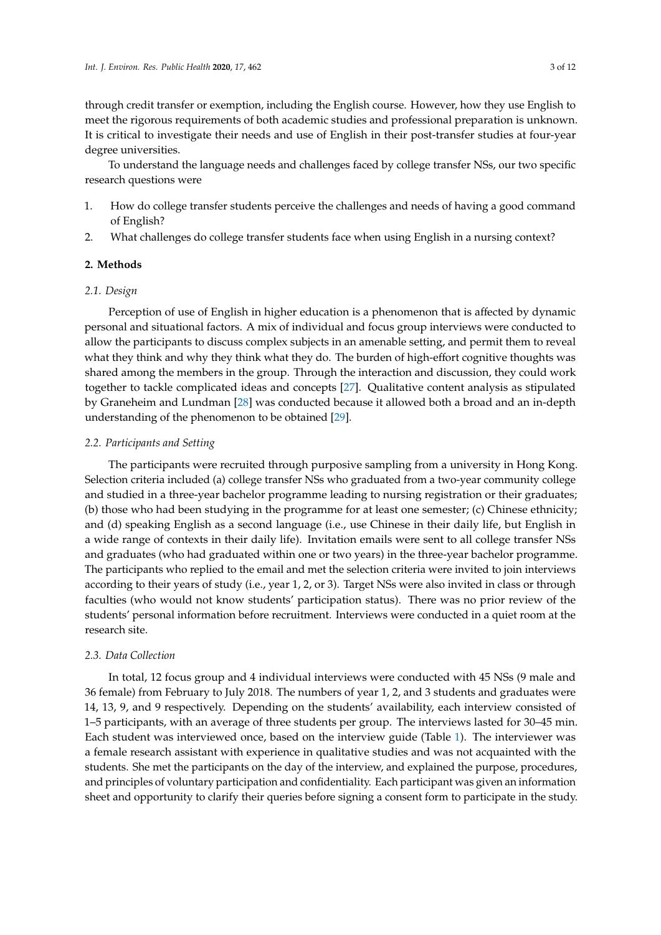through credit transfer or exemption, including the English course. However, how they use English to meet the rigorous requirements of both academic studies and professional preparation is unknown. It is critical to investigate their needs and use of English in their post-transfer studies at four-year degree universities.

To understand the language needs and challenges faced by college transfer NSs, our two specific research questions were

- 1. How do college transfer students perceive the challenges and needs of having a good command of English?
- 2. What challenges do college transfer students face when using English in a nursing context?

## **2. Methods**

## *2.1. Design*

Perception of use of English in higher education is a phenomenon that is affected by dynamic personal and situational factors. A mix of individual and focus group interviews were conducted to allow the participants to discuss complex subjects in an amenable setting, and permit them to reveal what they think and why they think what they do. The burden of high-effort cognitive thoughts was shared among the members in the group. Through the interaction and discussion, they could work together to tackle complicated ideas and concepts [\[27\]](#page-10-7). Qualitative content analysis as stipulated by Graneheim and Lundman [\[28\]](#page-10-8) was conducted because it allowed both a broad and an in-depth understanding of the phenomenon to be obtained [\[29\]](#page-10-9).

### *2.2. Participants and Setting*

The participants were recruited through purposive sampling from a university in Hong Kong. Selection criteria included (a) college transfer NSs who graduated from a two-year community college and studied in a three-year bachelor programme leading to nursing registration or their graduates; (b) those who had been studying in the programme for at least one semester; (c) Chinese ethnicity; and (d) speaking English as a second language (i.e., use Chinese in their daily life, but English in a wide range of contexts in their daily life). Invitation emails were sent to all college transfer NSs and graduates (who had graduated within one or two years) in the three-year bachelor programme. The participants who replied to the email and met the selection criteria were invited to join interviews according to their years of study (i.e., year 1, 2, or 3). Target NSs were also invited in class or through faculties (who would not know students' participation status). There was no prior review of the students' personal information before recruitment. Interviews were conducted in a quiet room at the research site.

## *2.3. Data Collection*

In total, 12 focus group and 4 individual interviews were conducted with 45 NSs (9 male and 36 female) from February to July 2018. The numbers of year 1, 2, and 3 students and graduates were 14, 13, 9, and 9 respectively. Depending on the students' availability, each interview consisted of 1–5 participants, with an average of three students per group. The interviews lasted for 30–45 min. Each student was interviewed once, based on the interview guide (Table [1\)](#page-3-0). The interviewer was a female research assistant with experience in qualitative studies and was not acquainted with the students. She met the participants on the day of the interview, and explained the purpose, procedures, and principles of voluntary participation and confidentiality. Each participant was given an information sheet and opportunity to clarify their queries before signing a consent form to participate in the study.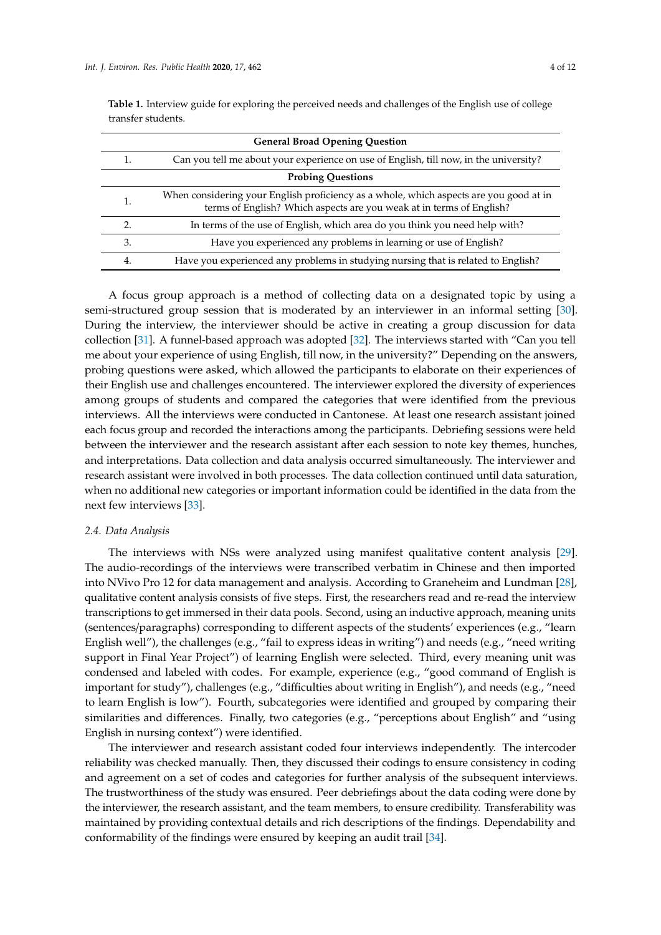| <b>General Broad Opening Question</b> |                                                                                                                                                                |  |
|---------------------------------------|----------------------------------------------------------------------------------------------------------------------------------------------------------------|--|
| 1.                                    | Can you tell me about your experience on use of English, till now, in the university?                                                                          |  |
|                                       | <b>Probing Questions</b>                                                                                                                                       |  |
| 1.                                    | When considering your English proficiency as a whole, which aspects are you good at in<br>terms of English? Which aspects are you weak at in terms of English? |  |
| 2.                                    | In terms of the use of English, which area do you think you need help with?                                                                                    |  |
| 3.                                    | Have you experienced any problems in learning or use of English?                                                                                               |  |
| 4.                                    | Have you experienced any problems in studying nursing that is related to English?                                                                              |  |

<span id="page-3-0"></span>Table 1. Interview guide for exploring the perceived needs and challenges of the English use of college transfer students.

A focus group approach is a method of collecting data on a designated topic by using a semi-structured group session that is moderated by an interviewer in an informal setting [\[30\]](#page-10-10). During the interview, the interviewer should be active in creating a group discussion for data collection [\[31\]](#page-10-11). A funnel-based approach was adopted [\[32\]](#page-10-12). The interviews started with "Can you tell me about your experience of using English, till now, in the university?" Depending on the answers, probing questions were asked, which allowed the participants to elaborate on their experiences of their English use and challenges encountered. The interviewer explored the diversity of experiences among groups of students and compared the categories that were identified from the previous interviews. All the interviews were conducted in Cantonese. At least one research assistant joined each focus group and recorded the interactions among the participants. Debriefing sessions were held between the interviewer and the research assistant after each session to note key themes, hunches, and interpretations. Data collection and data analysis occurred simultaneously. The interviewer and research assistant were involved in both processes. The data collection continued until data saturation, when no additional new categories or important information could be identified in the data from the next few interviews [\[33\]](#page-10-13).

#### *2.4. Data Analysis*

The interviews with NSs were analyzed using manifest qualitative content analysis [\[29\]](#page-10-9). The audio-recordings of the interviews were transcribed verbatim in Chinese and then imported into NVivo Pro 12 for data management and analysis. According to Graneheim and Lundman [\[28\]](#page-10-8), qualitative content analysis consists of five steps. First, the researchers read and re-read the interview transcriptions to get immersed in their data pools. Second, using an inductive approach, meaning units (sentences/paragraphs) corresponding to different aspects of the students' experiences (e.g., "learn English well"), the challenges (e.g., "fail to express ideas in writing") and needs (e.g., "need writing support in Final Year Project") of learning English were selected. Third, every meaning unit was condensed and labeled with codes. For example, experience (e.g., "good command of English is important for study"), challenges (e.g., "difficulties about writing in English"), and needs (e.g., "need to learn English is low"). Fourth, subcategories were identified and grouped by comparing their similarities and differences. Finally, two categories (e.g., "perceptions about English" and "using English in nursing context") were identified.

The interviewer and research assistant coded four interviews independently. The intercoder reliability was checked manually. Then, they discussed their codings to ensure consistency in coding and agreement on a set of codes and categories for further analysis of the subsequent interviews. The trustworthiness of the study was ensured. Peer debriefings about the data coding were done by the interviewer, the research assistant, and the team members, to ensure credibility. Transferability was maintained by providing contextual details and rich descriptions of the findings. Dependability and conformability of the findings were ensured by keeping an audit trail [\[34\]](#page-10-14).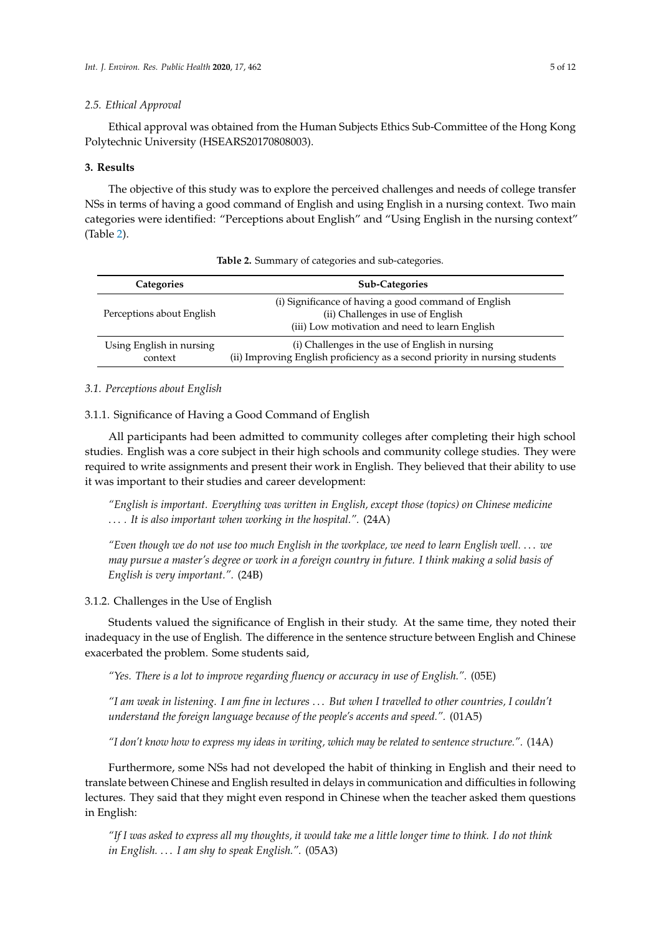#### *2.5. Ethical Approval*

Ethical approval was obtained from the Human Subjects Ethics Sub-Committee of the Hong Kong Polytechnic University (HSEARS20170808003).

#### **3. Results**

The objective of this study was to explore the perceived challenges and needs of college transfer NSs in terms of having a good command of English and using English in a nursing context. Two main categories were identified: "Perceptions about English" and "Using English in the nursing context" (Table [2\)](#page-4-0).

<span id="page-4-0"></span>

| <b>Categories</b>                   | <b>Sub-Categories</b>                                                                                                                       |
|-------------------------------------|---------------------------------------------------------------------------------------------------------------------------------------------|
| Perceptions about English           | (i) Significance of having a good command of English<br>(ii) Challenges in use of English<br>(iii) Low motivation and need to learn English |
| Using English in nursing<br>context | (i) Challenges in the use of English in nursing<br>(ii) Improving English proficiency as a second priority in nursing students              |

**Table 2.** Summary of categories and sub-categories.

## *3.1. Perceptions about English*

3.1.1. Significance of Having a Good Command of English

All participants had been admitted to community colleges after completing their high school studies. English was a core subject in their high schools and community college studies. They were required to write assignments and present their work in English. They believed that their ability to use it was important to their studies and career development:

*"English is important. Everything was written in English, except those (topics) on Chinese medicine* . . . *. It is also important when working in the hospital.".* (24A)

*"Even though we do not use too much English in the workplace, we need to learn English well.* . . . *we may pursue a master's degree or work in a foreign country in future. I think making a solid basis of English is very important.".* (24B)

## 3.1.2. Challenges in the Use of English

Students valued the significance of English in their study. At the same time, they noted their inadequacy in the use of English. The difference in the sentence structure between English and Chinese exacerbated the problem. Some students said,

*"Yes. There is a lot to improve regarding fluency or accuracy in use of English.".* (05E)

*"I am weak in listening. I am fine in lectures* . . . *But when I travelled to other countries, I couldn't understand the foreign language because of the people's accents and speed.".* (01A5)

*"I don't know how to express my ideas in writing, which may be related to sentence structure.".* (14A)

Furthermore, some NSs had not developed the habit of thinking in English and their need to translate between Chinese and English resulted in delays in communication and difficulties in following lectures. They said that they might even respond in Chinese when the teacher asked them questions in English:

*"If I was asked to express all my thoughts, it would take me a little longer time to think. I do not think in English.* . . . *I am shy to speak English.".* (05A3)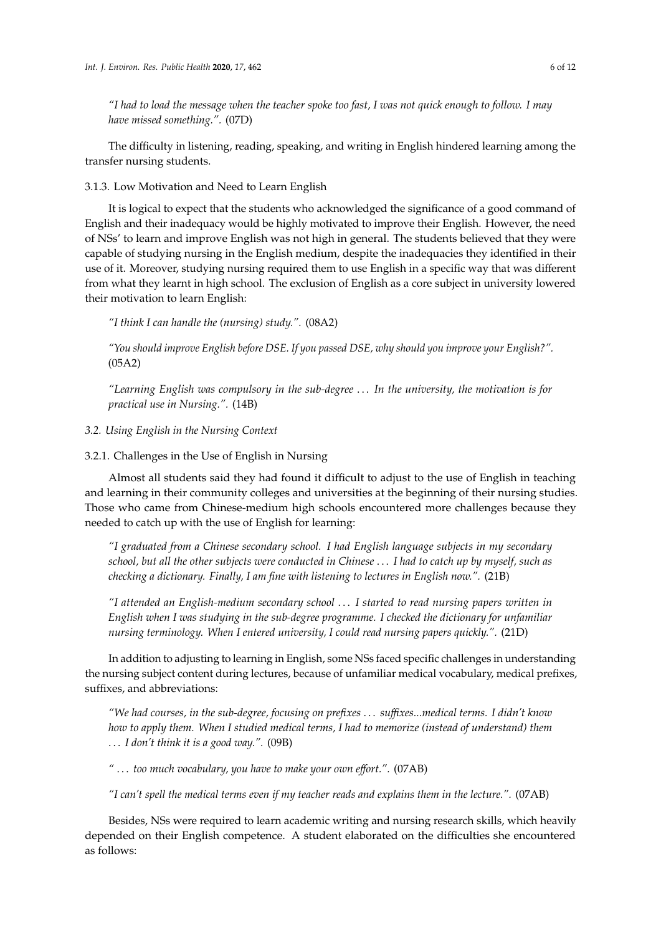*"I had to load the message when the teacher spoke too fast, I was not quick enough to follow. I may have missed something.".* (07D)

The difficulty in listening, reading, speaking, and writing in English hindered learning among the transfer nursing students.

3.1.3. Low Motivation and Need to Learn English

It is logical to expect that the students who acknowledged the significance of a good command of English and their inadequacy would be highly motivated to improve their English. However, the need of NSs' to learn and improve English was not high in general. The students believed that they were capable of studying nursing in the English medium, despite the inadequacies they identified in their use of it. Moreover, studying nursing required them to use English in a specific way that was different from what they learnt in high school. The exclusion of English as a core subject in university lowered their motivation to learn English:

*"I think I can handle the (nursing) study.".* (08A2)

*"You should improve English before DSE. If you passed DSE, why should you improve your English?".* (05A2)

*"Learning English was compulsory in the sub-degree* . . . *In the university, the motivation is for practical use in Nursing.".* (14B)

*3.2. Using English in the Nursing Context*

3.2.1. Challenges in the Use of English in Nursing

Almost all students said they had found it difficult to adjust to the use of English in teaching and learning in their community colleges and universities at the beginning of their nursing studies. Those who came from Chinese-medium high schools encountered more challenges because they needed to catch up with the use of English for learning:

*"I graduated from a Chinese secondary school. I had English language subjects in my secondary school, but all the other subjects were conducted in Chinese* . . . *I had to catch up by myself, such as checking a dictionary. Finally, I am fine with listening to lectures in English now.".* (21B)

*"I attended an English-medium secondary school* . . . *I started to read nursing papers written in English when I was studying in the sub-degree programme. I checked the dictionary for unfamiliar nursing terminology. When I entered university, I could read nursing papers quickly.".* (21D)

In addition to adjusting to learning in English, some NSs faced specific challenges in understanding the nursing subject content during lectures, because of unfamiliar medical vocabulary, medical prefixes, suffixes, and abbreviations:

*"We had courses, in the sub-degree, focusing on prefixes* . . . *su*ffi*xes...medical terms. I didn't know how to apply them. When I studied medical terms, I had to memorize (instead of understand) them* . . . *I don't think it is a good way.".* (09B)

*"* . . . *too much vocabulary, you have to make your own e*ff*ort.".* (07AB)

*"I can't spell the medical terms even if my teacher reads and explains them in the lecture.".* (07AB)

Besides, NSs were required to learn academic writing and nursing research skills, which heavily depended on their English competence. A student elaborated on the difficulties she encountered as follows: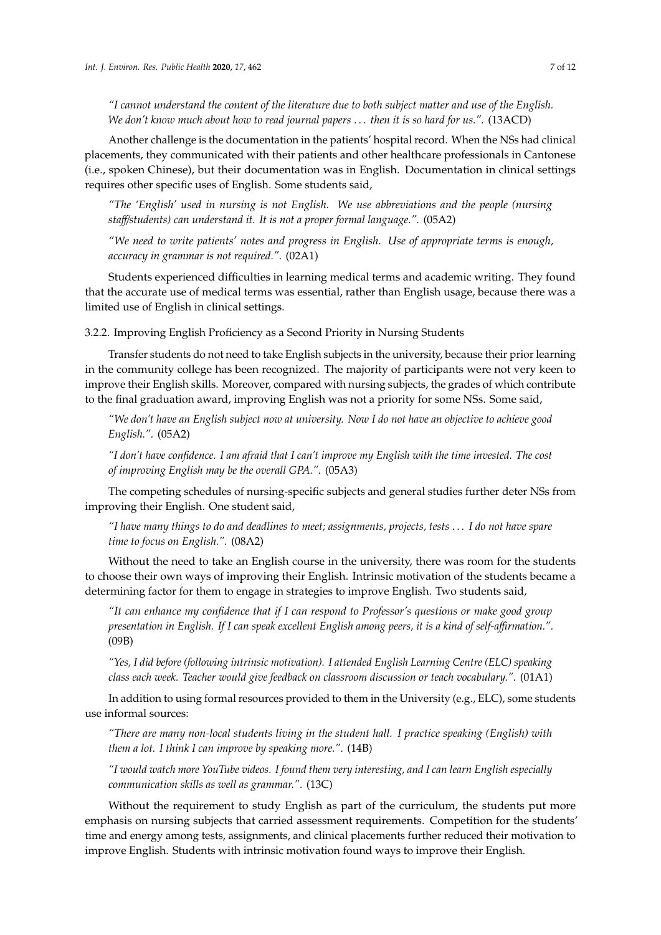*"I cannot understand the content of the literature due to both subject matter and use of the English. We don't know much about how to read journal papers* . . . *then it is so hard for us.".* (13ACD)

Another challenge is the documentation in the patients' hospital record. When the NSs had clinical placements, they communicated with their patients and other healthcare professionals in Cantonese (i.e., spoken Chinese), but their documentation was in English. Documentation in clinical settings requires other specific uses of English. Some students said,

*"The 'English' used in nursing is not English. We use abbreviations and the people (nursing sta*ff/*students) can understand it. It is not a proper formal language.".* (05A2)

*"We need to write patients' notes and progress in English. Use of appropriate terms is enough, accuracy in grammar is not required.".* (02A1)

Students experienced difficulties in learning medical terms and academic writing. They found that the accurate use of medical terms was essential, rather than English usage, because there was a limited use of English in clinical settings.

3.2.2. Improving English Proficiency as a Second Priority in Nursing Students

Transfer students do not need to take English subjects in the university, because their prior learning in the community college has been recognized. The majority of participants were not very keen to improve their English skills. Moreover, compared with nursing subjects, the grades of which contribute to the final graduation award, improving English was not a priority for some NSs. Some said,

*"We don't have an English subject now at university. Now I do not have an objective to achieve good English.".* (05A2)

*"I don't have confidence. I am afraid that I can't improve my English with the time invested. The cost of improving English may be the overall GPA.".* (05A3)

The competing schedules of nursing-specific subjects and general studies further deter NSs from improving their English. One student said,

*"I have many things to do and deadlines to meet; assignments, projects, tests* . . . *I do not have spare time to focus on English.".* (08A2)

Without the need to take an English course in the university, there was room for the students to choose their own ways of improving their English. Intrinsic motivation of the students became a determining factor for them to engage in strategies to improve English. Two students said,

*"It can enhance my confidence that if I can respond to Professor's questions or make good group presentation in English. If I can speak excellent English among peers, it is a kind of self-a*ffi*rmation.".* (09B)

*"Yes, I did before (following intrinsic motivation). I attended English Learning Centre (ELC) speaking class each week. Teacher would give feedback on classroom discussion or teach vocabulary.".* (01A1)

In addition to using formal resources provided to them in the University (e.g., ELC), some students use informal sources:

*"There are many non-local students living in the student hall. I practice speaking (English) with them a lot. I think I can improve by speaking more.".* (14B)

*"I would watch more YouTube videos. I found them very interesting, and I can learn English especially communication skills as well as grammar.".* (13C)

Without the requirement to study English as part of the curriculum, the students put more emphasis on nursing subjects that carried assessment requirements. Competition for the students' time and energy among tests, assignments, and clinical placements further reduced their motivation to improve English. Students with intrinsic motivation found ways to improve their English.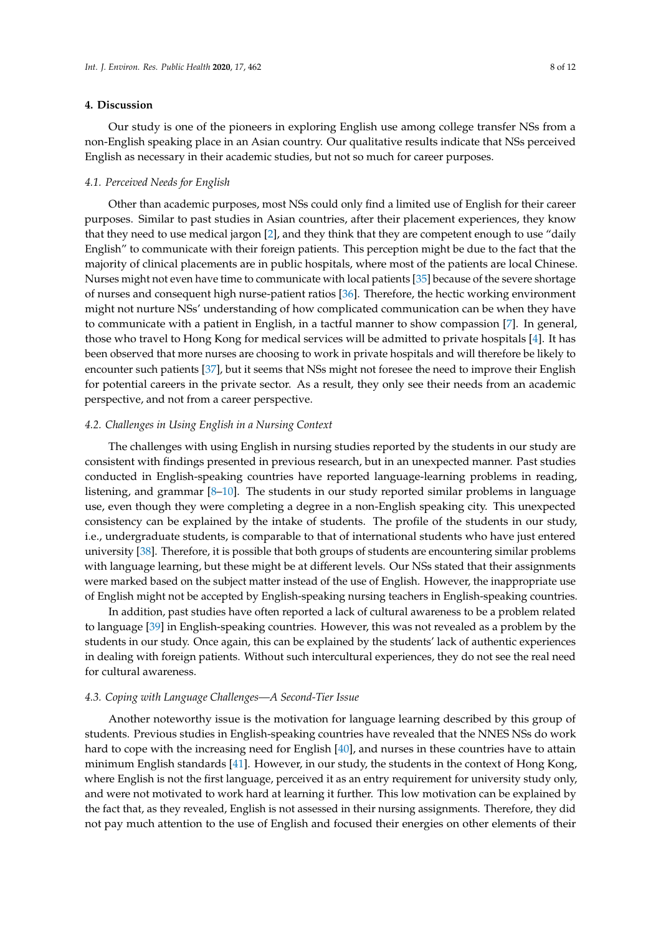#### **4. Discussion**

Our study is one of the pioneers in exploring English use among college transfer NSs from a non-English speaking place in an Asian country. Our qualitative results indicate that NSs perceived English as necessary in their academic studies, but not so much for career purposes.

#### *4.1. Perceived Needs for English*

Other than academic purposes, most NSs could only find a limited use of English for their career purposes. Similar to past studies in Asian countries, after their placement experiences, they know that they need to use medical jargon [\[2\]](#page-9-1), and they think that they are competent enough to use "daily English" to communicate with their foreign patients. This perception might be due to the fact that the majority of clinical placements are in public hospitals, where most of the patients are local Chinese. Nurses might not even have time to communicate with local patients [\[35\]](#page-10-15) because of the severe shortage of nurses and consequent high nurse-patient ratios [\[36\]](#page-10-16). Therefore, the hectic working environment might not nurture NSs' understanding of how complicated communication can be when they have to communicate with a patient in English, in a tactful manner to show compassion [\[7\]](#page-9-6). In general, those who travel to Hong Kong for medical services will be admitted to private hospitals [\[4\]](#page-9-3). It has been observed that more nurses are choosing to work in private hospitals and will therefore be likely to encounter such patients [\[37\]](#page-10-17), but it seems that NSs might not foresee the need to improve their English for potential careers in the private sector. As a result, they only see their needs from an academic perspective, and not from a career perspective.

#### *4.2. Challenges in Using English in a Nursing Context*

The challenges with using English in nursing studies reported by the students in our study are consistent with findings presented in previous research, but in an unexpected manner. Past studies conducted in English-speaking countries have reported language-learning problems in reading, listening, and grammar  $[8-10]$  $[8-10]$ . The students in our study reported similar problems in language use, even though they were completing a degree in a non-English speaking city. This unexpected consistency can be explained by the intake of students. The profile of the students in our study, i.e., undergraduate students, is comparable to that of international students who have just entered university [\[38\]](#page-10-18). Therefore, it is possible that both groups of students are encountering similar problems with language learning, but these might be at different levels. Our NSs stated that their assignments were marked based on the subject matter instead of the use of English. However, the inappropriate use of English might not be accepted by English-speaking nursing teachers in English-speaking countries.

In addition, past studies have often reported a lack of cultural awareness to be a problem related to language [\[39\]](#page-10-19) in English-speaking countries. However, this was not revealed as a problem by the students in our study. Once again, this can be explained by the students' lack of authentic experiences in dealing with foreign patients. Without such intercultural experiences, they do not see the real need for cultural awareness.

#### *4.3. Coping with Language Challenges—A Second-Tier Issue*

Another noteworthy issue is the motivation for language learning described by this group of students. Previous studies in English-speaking countries have revealed that the NNES NSs do work hard to cope with the increasing need for English [\[40\]](#page-10-20), and nurses in these countries have to attain minimum English standards [\[41\]](#page-10-21). However, in our study, the students in the context of Hong Kong, where English is not the first language, perceived it as an entry requirement for university study only, and were not motivated to work hard at learning it further. This low motivation can be explained by the fact that, as they revealed, English is not assessed in their nursing assignments. Therefore, they did not pay much attention to the use of English and focused their energies on other elements of their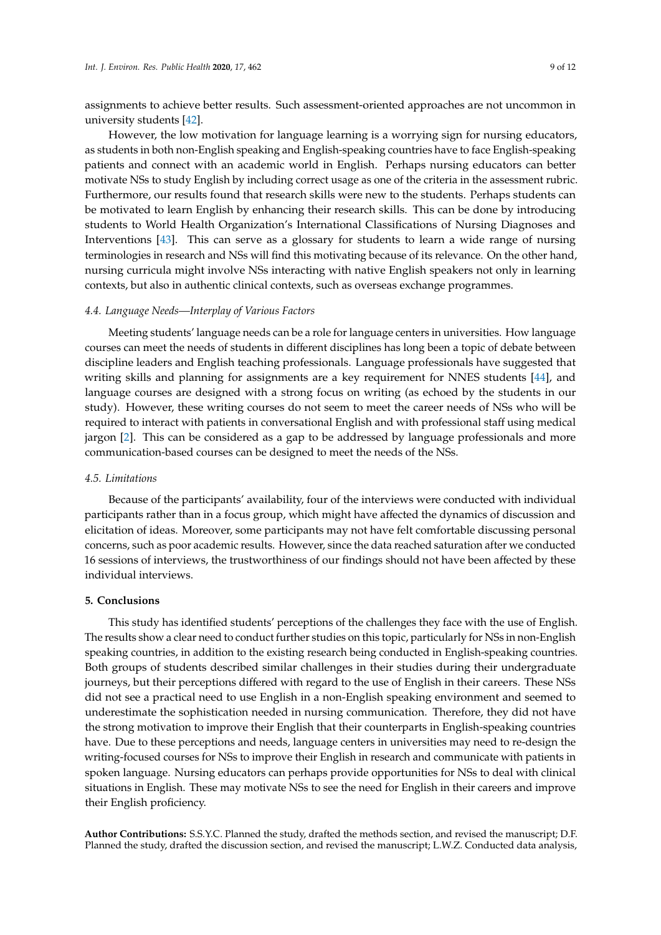assignments to achieve better results. Such assessment-oriented approaches are not uncommon in university students [\[42\]](#page-10-22).

However, the low motivation for language learning is a worrying sign for nursing educators, as students in both non-English speaking and English-speaking countries have to face English-speaking patients and connect with an academic world in English. Perhaps nursing educators can better motivate NSs to study English by including correct usage as one of the criteria in the assessment rubric. Furthermore, our results found that research skills were new to the students. Perhaps students can be motivated to learn English by enhancing their research skills. This can be done by introducing students to World Health Organization's International Classifications of Nursing Diagnoses and Interventions [\[43\]](#page-11-0). This can serve as a glossary for students to learn a wide range of nursing terminologies in research and NSs will find this motivating because of its relevance. On the other hand, nursing curricula might involve NSs interacting with native English speakers not only in learning contexts, but also in authentic clinical contexts, such as overseas exchange programmes.

#### *4.4. Language Needs—Interplay of Various Factors*

Meeting students' language needs can be a role for language centers in universities. How language courses can meet the needs of students in different disciplines has long been a topic of debate between discipline leaders and English teaching professionals. Language professionals have suggested that writing skills and planning for assignments are a key requirement for NNES students [\[44\]](#page-11-1), and language courses are designed with a strong focus on writing (as echoed by the students in our study). However, these writing courses do not seem to meet the career needs of NSs who will be required to interact with patients in conversational English and with professional staff using medical jargon [\[2\]](#page-9-1). This can be considered as a gap to be addressed by language professionals and more communication-based courses can be designed to meet the needs of the NSs.

#### *4.5. Limitations*

Because of the participants' availability, four of the interviews were conducted with individual participants rather than in a focus group, which might have affected the dynamics of discussion and elicitation of ideas. Moreover, some participants may not have felt comfortable discussing personal concerns, such as poor academic results. However, since the data reached saturation after we conducted 16 sessions of interviews, the trustworthiness of our findings should not have been affected by these individual interviews.

## **5. Conclusions**

This study has identified students' perceptions of the challenges they face with the use of English. The results show a clear need to conduct further studies on this topic, particularly for NSs in non-English speaking countries, in addition to the existing research being conducted in English-speaking countries. Both groups of students described similar challenges in their studies during their undergraduate journeys, but their perceptions differed with regard to the use of English in their careers. These NSs did not see a practical need to use English in a non-English speaking environment and seemed to underestimate the sophistication needed in nursing communication. Therefore, they did not have the strong motivation to improve their English that their counterparts in English-speaking countries have. Due to these perceptions and needs, language centers in universities may need to re-design the writing-focused courses for NSs to improve their English in research and communicate with patients in spoken language. Nursing educators can perhaps provide opportunities for NSs to deal with clinical situations in English. These may motivate NSs to see the need for English in their careers and improve their English proficiency.

**Author Contributions:** S.S.Y.C. Planned the study, drafted the methods section, and revised the manuscript; D.F. Planned the study, drafted the discussion section, and revised the manuscript; L.W.Z. Conducted data analysis,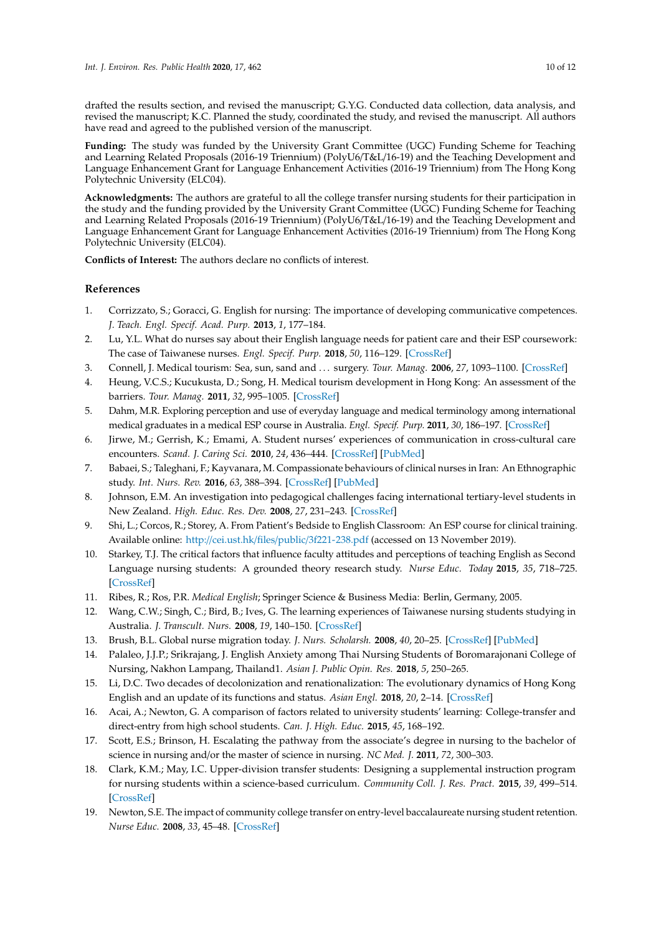drafted the results section, and revised the manuscript; G.Y.G. Conducted data collection, data analysis, and revised the manuscript; K.C. Planned the study, coordinated the study, and revised the manuscript. All authors have read and agreed to the published version of the manuscript.

**Funding:** The study was funded by the University Grant Committee (UGC) Funding Scheme for Teaching and Learning Related Proposals (2016-19 Triennium) (PolyU6/T&L/16-19) and the Teaching Development and Language Enhancement Grant for Language Enhancement Activities (2016-19 Triennium) from The Hong Kong Polytechnic University (ELC04).

**Acknowledgments:** The authors are grateful to all the college transfer nursing students for their participation in the study and the funding provided by the University Grant Committee (UGC) Funding Scheme for Teaching and Learning Related Proposals (2016-19 Triennium) (PolyU6/T&L/16-19) and the Teaching Development and Language Enhancement Grant for Language Enhancement Activities (2016-19 Triennium) from The Hong Kong Polytechnic University (ELC04).

**Conflicts of Interest:** The authors declare no conflicts of interest.

## **References**

- <span id="page-9-0"></span>1. Corrizzato, S.; Goracci, G. English for nursing: The importance of developing communicative competences. *J. Teach. Engl. Specif. Acad. Purp.* **2013**, *1*, 177–184.
- <span id="page-9-1"></span>2. Lu, Y.L. What do nurses say about their English language needs for patient care and their ESP coursework: The case of Taiwanese nurses. *Engl. Specif. Purp.* **2018**, *50*, 116–129. [\[CrossRef\]](http://dx.doi.org/10.1016/j.esp.2017.12.004)
- <span id="page-9-2"></span>3. Connell, J. Medical tourism: Sea, sun, sand and . . . surgery. *Tour. Manag.* **2006**, *27*, 1093–1100. [\[CrossRef\]](http://dx.doi.org/10.1016/j.tourman.2005.11.005)
- <span id="page-9-3"></span>4. Heung, V.C.S.; Kucukusta, D.; Song, H. Medical tourism development in Hong Kong: An assessment of the barriers. *Tour. Manag.* **2011**, *32*, 995–1005. [\[CrossRef\]](http://dx.doi.org/10.1016/j.tourman.2010.08.012)
- <span id="page-9-4"></span>5. Dahm, M.R. Exploring perception and use of everyday language and medical terminology among international medical graduates in a medical ESP course in Australia. *Engl. Specif. Purp.* **2011**, *30*, 186–197. [\[CrossRef\]](http://dx.doi.org/10.1016/j.esp.2011.02.004)
- <span id="page-9-5"></span>6. Jirwe, M.; Gerrish, K.; Emami, A. Student nurses' experiences of communication in cross-cultural care encounters. *Scand. J. Caring Sci.* **2010**, *24*, 436–444. [\[CrossRef\]](http://dx.doi.org/10.1111/j.1471-6712.2009.00733.x) [\[PubMed\]](http://www.ncbi.nlm.nih.gov/pubmed/20233352)
- <span id="page-9-6"></span>7. Babaei, S.; Taleghani, F.; Kayvanara, M. Compassionate behaviours of clinical nurses in Iran: An Ethnographic study. *Int. Nurs. Rev.* **2016**, *63*, 388–394. [\[CrossRef\]](http://dx.doi.org/10.1111/inr.12296) [\[PubMed\]](http://www.ncbi.nlm.nih.gov/pubmed/27312244)
- <span id="page-9-7"></span>8. Johnson, E.M. An investigation into pedagogical challenges facing international tertiary-level students in New Zealand. *High. Educ. Res. Dev.* **2008**, *27*, 231–243. [\[CrossRef\]](http://dx.doi.org/10.1080/07294360802183796)
- <span id="page-9-11"></span>9. Shi, L.; Corcos, R.; Storey, A. From Patient's Bedside to English Classroom: An ESP course for clinical training. Available online: http://cei.ust.hk/files/public/[3f221-238.pdf](http://cei.ust.hk/files/public/3f221-238.pdf) (accessed on 13 November 2019).
- <span id="page-9-8"></span>10. Starkey, T.J. The critical factors that influence faculty attitudes and perceptions of teaching English as Second Language nursing students: A grounded theory research study. *Nurse Educ. Today* **2015**, *35*, 718–725. [\[CrossRef\]](http://dx.doi.org/10.1016/j.nedt.2015.01.017)
- <span id="page-9-9"></span>11. Ribes, R.; Ros, P.R. *Medical English*; Springer Science & Business Media: Berlin, Germany, 2005.
- <span id="page-9-10"></span>12. Wang, C.W.; Singh, C.; Bird, B.; Ives, G. The learning experiences of Taiwanese nursing students studying in Australia. *J. Transcult. Nurs.* **2008**, *19*, 140–150. [\[CrossRef\]](http://dx.doi.org/10.1177/1043659607312968)
- <span id="page-9-12"></span>13. Brush, B.L. Global nurse migration today. *J. Nurs. Scholarsh.* **2008**, *40*, 20–25. [\[CrossRef\]](http://dx.doi.org/10.1111/j.1547-5069.2007.00201.x) [\[PubMed\]](http://www.ncbi.nlm.nih.gov/pubmed/18302587)
- <span id="page-9-13"></span>14. Palaleo, J.J.P.; Srikrajang, J. English Anxiety among Thai Nursing Students of Boromarajonani College of Nursing, Nakhon Lampang, Thailand1. *Asian J. Public Opin. Res.* **2018**, *5*, 250–265.
- <span id="page-9-14"></span>15. Li, D.C. Two decades of decolonization and renationalization: The evolutionary dynamics of Hong Kong English and an update of its functions and status. *Asian Engl.* **2018**, *20*, 2–14. [\[CrossRef\]](http://dx.doi.org/10.1080/13488678.2017.1415517)
- <span id="page-9-15"></span>16. Acai, A.; Newton, G. A comparison of factors related to university students' learning: College-transfer and direct-entry from high school students. *Can. J. High. Educ.* **2015**, *45*, 168–192.
- <span id="page-9-16"></span>17. Scott, E.S.; Brinson, H. Escalating the pathway from the associate's degree in nursing to the bachelor of science in nursing and/or the master of science in nursing. *NC Med. J.* **2011**, *72*, 300–303.
- <span id="page-9-17"></span>18. Clark, K.M.; May, I.C. Upper-division transfer students: Designing a supplemental instruction program for nursing students within a science-based curriculum. *Community Coll. J. Res. Pract.* **2015**, *39*, 499–514. [\[CrossRef\]](http://dx.doi.org/10.1080/10668926.2013.849622)
- <span id="page-9-18"></span>19. Newton, S.E. The impact of community college transfer on entry-level baccalaureate nursing student retention. *Nurse Educ.* **2008**, *33*, 45–48. [\[CrossRef\]](http://dx.doi.org/10.1097/01.NNE.0000299498.30743.5e)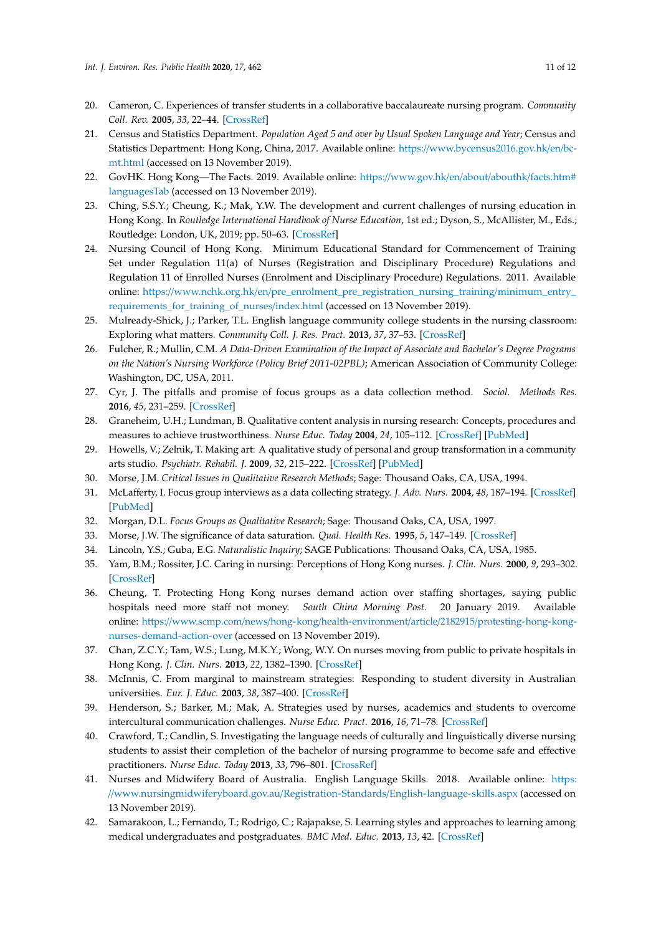- <span id="page-10-0"></span>20. Cameron, C. Experiences of transfer students in a collaborative baccalaureate nursing program. *Community Coll. Rev.* **2005**, *33*, 22–44. [\[CrossRef\]](http://dx.doi.org/10.1177/009155210503300202)
- <span id="page-10-1"></span>21. Census and Statistics Department. *Population Aged 5 and over by Usual Spoken Language and Year*; Census and Statistics Department: Hong Kong, China, 2017. Available online: https://[www.bycensus2016.gov.hk](https://www.bycensus2016.gov.hk/en/bc-mt.html)/en/bc[mt.html](https://www.bycensus2016.gov.hk/en/bc-mt.html) (accessed on 13 November 2019).
- <span id="page-10-2"></span>22. GovHK. Hong Kong—The Facts. 2019. Available online: https://[www.gov.hk](https://www.gov.hk/en/about/abouthk/facts.htm#languagesTab)/en/about/abouthk/facts.htm# [languagesTab](https://www.gov.hk/en/about/abouthk/facts.htm#languagesTab) (accessed on 13 November 2019).
- <span id="page-10-3"></span>23. Ching, S.S.Y.; Cheung, K.; Mak, Y.W. The development and current challenges of nursing education in Hong Kong. In *Routledge International Handbook of Nurse Education*, 1st ed.; Dyson, S., McAllister, M., Eds.; Routledge: London, UK, 2019; pp. 50–63. [\[CrossRef\]](http://dx.doi.org/10.4324/9781351121675)
- <span id="page-10-4"></span>24. Nursing Council of Hong Kong. Minimum Educational Standard for Commencement of Training Set under Regulation 11(a) of Nurses (Registration and Disciplinary Procedure) Regulations and Regulation 11 of Enrolled Nurses (Enrolment and Disciplinary Procedure) Regulations. 2011. Available online: https://www.nchk.org.hk/en/[pre\\_enrolment\\_pre\\_registration\\_nursing\\_training](https://www.nchk.org.hk/en/pre_enrolment_pre_registration_nursing_training/minimum_entry_requirements_for_training_of_nurses/index.html)/minimum\_entry\_ [requirements\\_for\\_training\\_of\\_nurses](https://www.nchk.org.hk/en/pre_enrolment_pre_registration_nursing_training/minimum_entry_requirements_for_training_of_nurses/index.html)/index.html (accessed on 13 November 2019).
- <span id="page-10-5"></span>25. Mulready-Shick, J.; Parker, T.L. English language community college students in the nursing classroom: Exploring what matters. *Community Coll. J. Res. Pract.* **2013**, *37*, 37–53. [\[CrossRef\]](http://dx.doi.org/10.1080/10668920903299577)
- <span id="page-10-6"></span>26. Fulcher, R.; Mullin, C.M. *A Data-Driven Examination of the Impact of Associate and Bachelor's Degree Programs on the Nation's Nursing Workforce (Policy Brief 2011-02PBL)*; American Association of Community College: Washington, DC, USA, 2011.
- <span id="page-10-7"></span>27. Cyr, J. The pitfalls and promise of focus groups as a data collection method. *Sociol. Methods Res.* **2016**, *45*, 231–259. [\[CrossRef\]](http://dx.doi.org/10.1177/0049124115570065)
- <span id="page-10-8"></span>28. Graneheim, U.H.; Lundman, B. Qualitative content analysis in nursing research: Concepts, procedures and measures to achieve trustworthiness. *Nurse Educ. Today* **2004**, *24*, 105–112. [\[CrossRef\]](http://dx.doi.org/10.1016/j.nedt.2003.10.001) [\[PubMed\]](http://www.ncbi.nlm.nih.gov/pubmed/14769454)
- <span id="page-10-9"></span>29. Howells, V.; Zelnik, T. Making art: A qualitative study of personal and group transformation in a community arts studio. *Psychiatr. Rehabil. J.* **2009**, *32*, 215–222. [\[CrossRef\]](http://dx.doi.org/10.2975/32.3.2009.215.222) [\[PubMed\]](http://www.ncbi.nlm.nih.gov/pubmed/19136354)
- <span id="page-10-10"></span>30. Morse, J.M. *Critical Issues in Qualitative Research Methods*; Sage: Thousand Oaks, CA, USA, 1994.
- <span id="page-10-11"></span>31. McLafferty, I. Focus group interviews as a data collecting strategy. *J. Adv. Nurs.* **2004**, *48*, 187–194. [\[CrossRef\]](http://dx.doi.org/10.1111/j.1365-2648.2004.03186.x) [\[PubMed\]](http://www.ncbi.nlm.nih.gov/pubmed/15369499)
- <span id="page-10-12"></span>32. Morgan, D.L. *Focus Groups as Qualitative Research*; Sage: Thousand Oaks, CA, USA, 1997.
- <span id="page-10-13"></span>33. Morse, J.W. The significance of data saturation. *Qual. Health Res.* **1995**, *5*, 147–149. [\[CrossRef\]](http://dx.doi.org/10.1177/104973239500500201)
- <span id="page-10-14"></span>34. Lincoln, Y.S.; Guba, E.G. *Naturalistic Inquiry*; SAGE Publications: Thousand Oaks, CA, USA, 1985.
- <span id="page-10-15"></span>35. Yam, B.M.; Rossiter, J.C. Caring in nursing: Perceptions of Hong Kong nurses. *J. Clin. Nurs.* **2000**, *9*, 293–302. [\[CrossRef\]](http://dx.doi.org/10.1046/j.1365-2702.2000.00349.x)
- <span id="page-10-16"></span>36. Cheung, T. Protecting Hong Kong nurses demand action over staffing shortages, saying public hospitals need more staff not money. *South China Morning Post*. 20 January 2019. Available online: https://www.scmp.com/news/hong-kong/health-environment/article/2182915/[protesting-hong-kong](https://www.scmp.com/news/hong-kong/health-environment/article/2182915/protesting-hong-kong-nurses-demand-action-over)[nurses-demand-action-over](https://www.scmp.com/news/hong-kong/health-environment/article/2182915/protesting-hong-kong-nurses-demand-action-over) (accessed on 13 November 2019).
- <span id="page-10-17"></span>37. Chan, Z.C.Y.; Tam, W.S.; Lung, M.K.Y.; Wong, W.Y. On nurses moving from public to private hospitals in Hong Kong. *J. Clin. Nurs.* **2013**, *22*, 1382–1390. [\[CrossRef\]](http://dx.doi.org/10.1111/jocn.12253)
- <span id="page-10-18"></span>38. McInnis, C. From marginal to mainstream strategies: Responding to student diversity in Australian universities. *Eur. J. Educ.* **2003**, *38*, 387–400. [\[CrossRef\]](http://dx.doi.org/10.1111/j.0141-8211.2003.00156.x)
- <span id="page-10-19"></span>39. Henderson, S.; Barker, M.; Mak, A. Strategies used by nurses, academics and students to overcome intercultural communication challenges. *Nurse Educ. Pract.* **2016**, *16*, 71–78. [\[CrossRef\]](http://dx.doi.org/10.1016/j.nepr.2015.08.010)
- <span id="page-10-20"></span>40. Crawford, T.; Candlin, S. Investigating the language needs of culturally and linguistically diverse nursing students to assist their completion of the bachelor of nursing programme to become safe and effective practitioners. *Nurse Educ. Today* **2013**, *33*, 796–801. [\[CrossRef\]](http://dx.doi.org/10.1016/j.nedt.2012.03.005)
- <span id="page-10-21"></span>41. Nurses and Midwifery Board of Australia. English Language Skills. 2018. Available online: [https:](https://www.nursingmidwiferyboard.gov.au/Registration-Standards/English-language-skills.aspx) //[www.nursingmidwiferyboard.gov.au](https://www.nursingmidwiferyboard.gov.au/Registration-Standards/English-language-skills.aspx)/Registration-Standards/English-language-skills.aspx (accessed on 13 November 2019).
- <span id="page-10-22"></span>42. Samarakoon, L.; Fernando, T.; Rodrigo, C.; Rajapakse, S. Learning styles and approaches to learning among medical undergraduates and postgraduates. *BMC Med. Educ.* **2013**, *13*, 42. [\[CrossRef\]](http://dx.doi.org/10.1186/1472-6920-13-42)